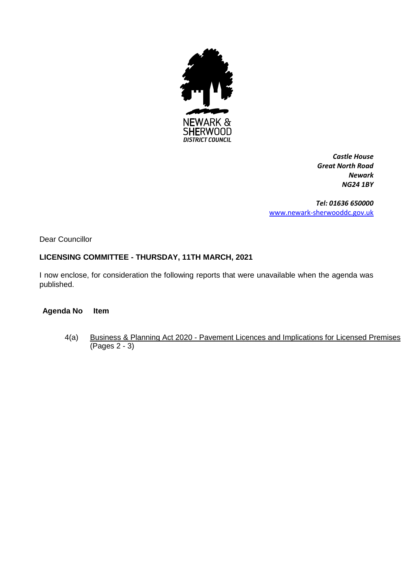

*Castle House Great North Road Newark NG24 1BY*

*Tel: 01636 650000* [www.newark-sherwooddc.gov.uk](http://www.newark-sherwooddc.gov.uk/)

Dear Councillor

# **LICENSING COMMITTEE - THURSDAY, 11TH MARCH, 2021**

I now enclose, for consideration the following reports that were unavailable when the agenda was published.

#### **Agenda No Item**

4(a) Business & Planning Act 2020 - Pavement Licences and Implications for Licensed Premises (Pages 2 - 3)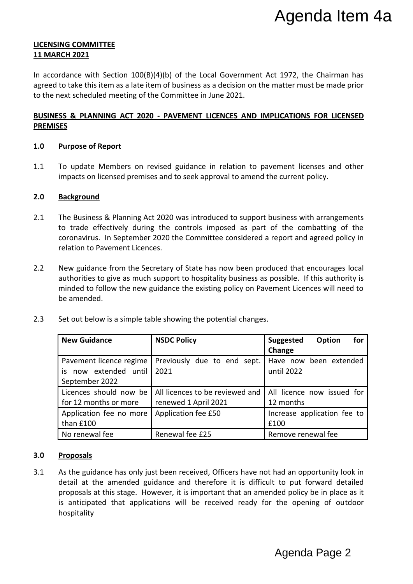# **LICENSING COMMITTEE 11 MARCH 2021**

In accordance with Section 100(B)(4)(b) of the Local Government Act 1972, the Chairman has agreed to take this item as a late item of business as a decision on the matter must be made prior to the next scheduled meeting of the Committee in June 2021.

# **BUSINESS & PLANNING ACT 2020 - PAVEMENT LICENCES AND IMPLICATIONS FOR LICENSED PREMISES**

# **1.0 Purpose of Report**

1.1 To update Members on revised guidance in relation to pavement licenses and other impacts on licensed premises and to seek approval to amend the current policy.

# **2.0 Background**

- 2.1 The Business & Planning Act 2020 was introduced to support business with arrangements to trade effectively during the controls imposed as part of the combatting of the coronavirus. In September 2020 the Committee considered a report and agreed policy in relation to Pavement Licences.
- 2.2 New guidance from the Secretary of State has now been produced that encourages local authorities to give as much support to hospitality business as possible. If this authority is minded to follow the new guidance the existing policy on Pavement Licences will need to be amended.
- 2.3 Set out below is a simple table showing the potential changes.

|                                                                    |                                                                                                                                                                                                                                                                                                                                                                       | Agenda Item 4a                                     |
|--------------------------------------------------------------------|-----------------------------------------------------------------------------------------------------------------------------------------------------------------------------------------------------------------------------------------------------------------------------------------------------------------------------------------------------------------------|----------------------------------------------------|
| <b>ING COMMITTEE</b><br><b>RCH 2021</b>                            |                                                                                                                                                                                                                                                                                                                                                                       |                                                    |
| next scheduled meeting of the Committee in June 2021.              | ordance with Section 100(B)(4)(b) of the Local Government Act 1972, the Chairman has<br>to take this item as a late item of business as a decision on the matter must be made prior                                                                                                                                                                                   |                                                    |
| SES                                                                | <u>ESS &amp; PLANNING ACT 2020 - PAVEMENT LICENCES AND IMPLICATIONS FOR LICENSED</u>                                                                                                                                                                                                                                                                                  |                                                    |
| <b>Purpose of Report</b>                                           |                                                                                                                                                                                                                                                                                                                                                                       |                                                    |
|                                                                    | To update Members on revised guidance in relation to pavement licenses and other<br>impacts on licensed premises and to seek approval to amend the current policy.                                                                                                                                                                                                    |                                                    |
| <b>Background</b>                                                  |                                                                                                                                                                                                                                                                                                                                                                       |                                                    |
| relation to Pavement Licences.                                     | The Business & Planning Act 2020 was introduced to support business with arrangements<br>to trade effectively during the controls imposed as part of the combatting of the<br>coronavirus. In September 2020 the Committee considered a report and agreed policy in                                                                                                   |                                                    |
| be amended.                                                        | New guidance from the Secretary of State has now been produced that encourages local<br>authorities to give as much support to hospitality business as possible. If this authority is<br>minded to follow the new guidance the existing policy on Pavement Licences will need to                                                                                      |                                                    |
|                                                                    | Set out below is a simple table showing the potential changes.                                                                                                                                                                                                                                                                                                        |                                                    |
| <b>New Guidance</b>                                                | <b>NSDC Policy</b>                                                                                                                                                                                                                                                                                                                                                    | <b>Suggested</b><br><b>Option</b><br>for<br>Change |
| Pavement licence regime<br>is now extended until<br>September 2022 | Previously due to end sept.<br>2021                                                                                                                                                                                                                                                                                                                                   | Have now been extended<br>until 2022               |
| Licences should now be<br>for 12 months or more                    | All licences to be reviewed and<br>renewed 1 April 2021                                                                                                                                                                                                                                                                                                               | All licence now issued for<br>12 months            |
| Application fee no more<br>than £100                               | Application fee £50                                                                                                                                                                                                                                                                                                                                                   | Increase application fee to<br>£100                |
| No renewal fee                                                     | Renewal fee £25                                                                                                                                                                                                                                                                                                                                                       | Remove renewal fee                                 |
| <b>Proposals</b><br>hospitality                                    | As the guidance has only just been received, Officers have not had an opportunity look in<br>detail at the amended guidance and therefore it is difficult to put forward detailed<br>proposals at this stage. However, it is important that an amended policy be in place as it<br>is anticipated that applications will be received ready for the opening of outdoor |                                                    |
|                                                                    |                                                                                                                                                                                                                                                                                                                                                                       | Agenda Page 2                                      |

# **3.0 Proposals**

3.1 As the guidance has only just been received, Officers have not had an opportunity look in detail at the amended guidance and therefore it is difficult to put forward detailed proposals at this stage. However, it is important that an amended policy be in place as it is anticipated that applications will be received ready for the opening of outdoor hospitality